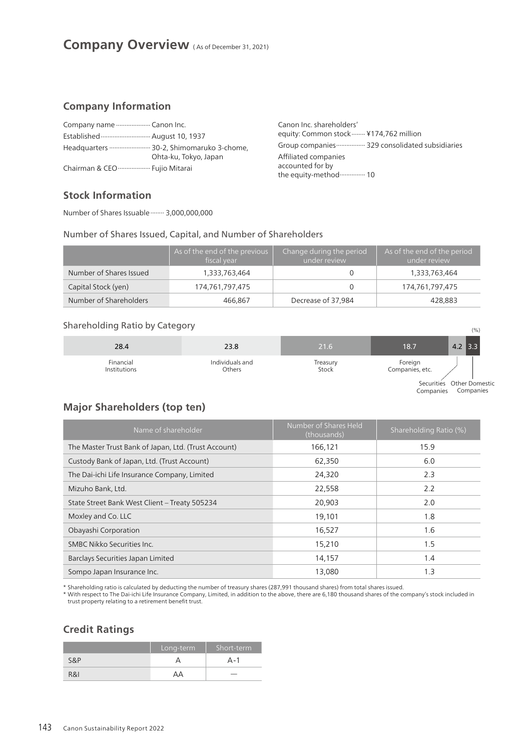### **Company Information**

| Established  August 10, 1937  |                                                                   |
|-------------------------------|-------------------------------------------------------------------|
|                               | Headquarters  30-2, Shimomaruko 3-chome,<br>Ohta-ku, Tokyo, Japan |
| Chairman & CEO  Fujio Mitarai |                                                                   |

Canon Inc. shareholders' equity: Common stock........ ¥174,762 million Group companies ................. 329 consolidated subsidiaries Affiliated companies accounted for by the equity-method............... 10

## **Stock Information**

Number of Shares Issuable........ 3,000,000,000

### Number of Shares Issued, Capital, and Number of Shareholders

|                         | As of the end of the previous<br>fiscal year | Change during the period<br>under review | As of the end of the period<br>under review |
|-------------------------|----------------------------------------------|------------------------------------------|---------------------------------------------|
| Number of Shares Issued | 1,333,763,464                                |                                          | 1,333,763,464                               |
| Capital Stock (yen)     | 174,761,797,475                              |                                          | 174,761,797,475                             |
| Number of Shareholders  | 466.867                                      | Decrease of 37,984                       | 428.883                                     |

# Shareholding Ratio by Category (%)

| 28.4         | 23.8            | 21.6     | 18.7            | $4.2$ 3.3                 |
|--------------|-----------------|----------|-----------------|---------------------------|
| Financial    | Individuals and | Treasury | Foreign         | Securities Other Domestic |
| Institutions | Others          | Stock    | Companies, etc. |                           |

Companies Companies

# **Major Shareholders (top ten)**

| Name of shareholder                                  | Number of Shares Held<br>(thousands) | Shareholding Ratio (%) |
|------------------------------------------------------|--------------------------------------|------------------------|
| The Master Trust Bank of Japan, Ltd. (Trust Account) | 166,121                              | 15.9                   |
| Custody Bank of Japan, Ltd. (Trust Account)          | 62,350                               | 6.0                    |
| The Dai-ichi Life Insurance Company, Limited         | 24,320                               | 2.3                    |
| Mizuho Bank, Ltd.                                    | 22,558                               | 2.2                    |
| State Street Bank West Client - Treaty 505234        | 20,903                               | 2.0                    |
| Moxley and Co. LLC                                   | 19.101                               | 1.8                    |
| Obayashi Corporation                                 | 16,527                               | 1.6                    |
| SMBC Nikko Securities Inc.                           | 15,210                               | 1.5                    |
| Barclays Securities Japan Limited                    | 14,157                               | 1.4                    |
| Sompo Japan Insurance Inc.                           | 13.080                               | 1.3                    |

\* Shareholding ratio is calculated by deducting the number of treasury shares (287,991 thousand shares) from total shares issued.

\* With respect to The Dai-ichi Life Insurance Company, Limited, in addition to the above, there are 6,180 thousand shares of the company's stock included in trust property relating to a retirement benefit trust.

### **Credit Ratings**

|     | Long-term | Short-term               |
|-----|-----------|--------------------------|
| S&P |           | ∆ - 1                    |
| R&I | ΔД        | $\overline{\phantom{a}}$ |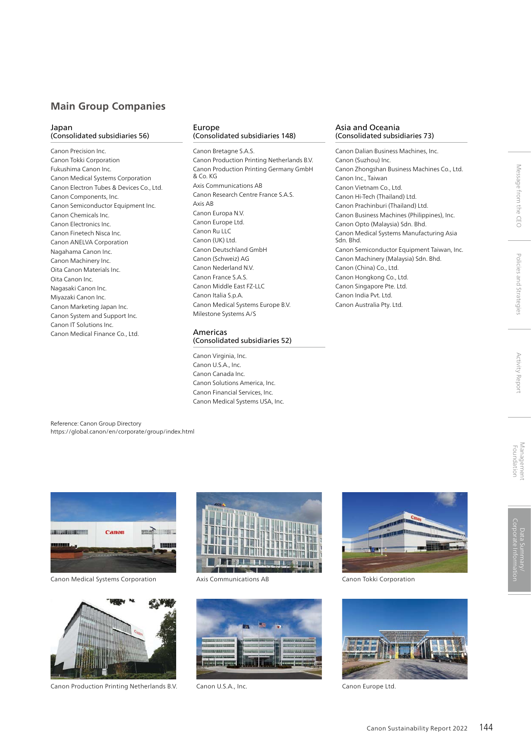### **Main Group Companies**

#### Japan (Consolidated subsidiaries 56)

Canon Precision Inc. Canon Tokki Corporation Fukushima Canon Inc. Canon Medical Systems Corporation Canon Electron Tubes & Devices Co., Ltd. Canon Components, Inc. Canon Semiconductor Equipment Inc. Canon Chemicals Inc. Canon Electronics Inc. Canon Finetech Nisca Inc. Canon ANELVA Corporation Nagahama Canon Inc. Canon Machinery Inc. Oita Canon Materials Inc. Oita Canon Inc. Nagasaki Canon Inc. Miyazaki Canon Inc. Canon Marketing Japan Inc. Canon System and Support Inc. Canon IT Solutions Inc. Canon Medical Finance Co., Ltd.

#### Europe (Consolidated subsidiaries 148)

Canon Bretagne S.A.S. Canon Production Printing Netherlands B.V. Canon Production Printing Germany GmbH & Co. KG Axis Communications AB Canon Research Centre France S.A.S. Axis AB Canon Europa N.V. Canon Europe Ltd. Canon Ru LLC Canon (UK) Ltd. Canon Deutschland GmbH Canon (Schweiz) AG Canon Nederland N.V. Canon France S.A.S. Canon Middle East FZ-LLC Canon Italia S.p.A. Canon Medical Systems Europe B.V. Milestone Systems A/S

### Americas

(Consolidated subsidiaries 52)

Canon Virginia, Inc. Canon U.S.A., Inc. Canon Canada Inc. Canon Solutions America, Inc. Canon Financial Services, Inc. Canon Medical Systems USA, Inc.

#### Asia and Oceania (Consolidated subsidiaries 73)

Canon Dalian Business Machines, Inc. Canon (Suzhou) Inc. Canon Zhongshan Business Machines Co., Ltd. Canon Inc., Taiwan Canon Vietnam Co., Ltd. Canon Hi-Tech (Thailand) Ltd. Canon Prachinburi (Thailand) Ltd. Canon Business Machines (Philippines), Inc. Canon Opto (Malaysia) Sdn. Bhd. Canon Medical Systems Manufacturing Asia Sdn. Bhd. Canon Semiconductor Equipment Taiwan, Inc. Canon Machinery (Malaysia) Sdn. Bhd. Canon (China) Co., Ltd. Canon Hongkong Co., Ltd. Canon Singapore Pte. Ltd. Canon India Pvt. Ltd. Canon Australia Pty. Ltd.

**Activity Report** 

Message from the CEO

Policies and Strategies

### Reference: Canon Group Directory https://global.canon/en/corporate/group/index.html



Canon Medical Systems Corporation



Canon Production Printing Netherlands B.V.



Axis Communications AB Canon Tokki Corporation



Canon U.S.A., Inc.





Canon Europe Ltd.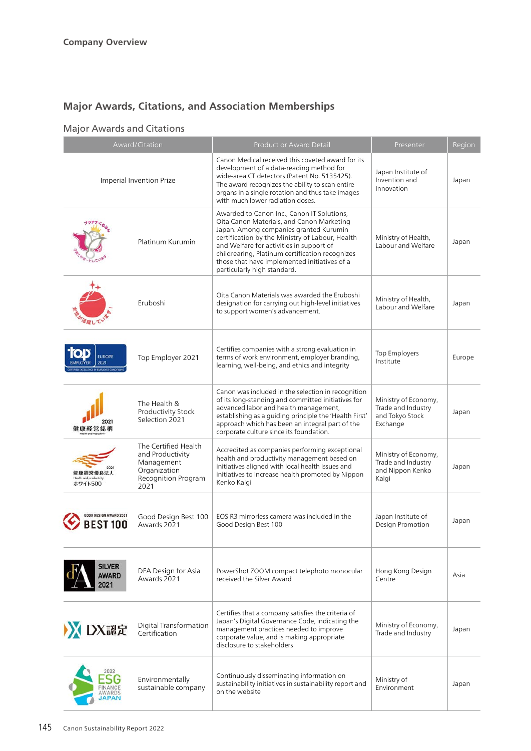# **Major Awards, Citations, and Association Memberships**

# Major Awards and Citations

|                                       | Award/Citation                                                                                        | <b>Product or Award Detail</b>                                                                                                                                                                                                                                                                                                                                     | Presenter                                                                 | Region |
|---------------------------------------|-------------------------------------------------------------------------------------------------------|--------------------------------------------------------------------------------------------------------------------------------------------------------------------------------------------------------------------------------------------------------------------------------------------------------------------------------------------------------------------|---------------------------------------------------------------------------|--------|
| Imperial Invention Prize              |                                                                                                       | Canon Medical received this coveted award for its<br>development of a data-reading method for<br>wide-area CT detectors (Patent No. 5135425).<br>The award recognizes the ability to scan entire<br>organs in a single rotation and thus take images<br>with much lower radiation doses.                                                                           | Japan Institute of<br>Invention and<br>Innovation                         | Japan  |
|                                       | Platinum Kurumin                                                                                      | Awarded to Canon Inc., Canon IT Solutions,<br>Oita Canon Materials, and Canon Marketing<br>Japan. Among companies granted Kurumin<br>certification by the Ministry of Labour, Health<br>and Welfare for activities in support of<br>childrearing, Platinum certification recognizes<br>those that have implemented initiatives of a<br>particularly high standard. | Ministry of Health,<br>Labour and Welfare                                 | Japan  |
|                                       | Eruboshi                                                                                              | Oita Canon Materials was awarded the Eruboshi<br>designation for carrying out high-level initiatives<br>to support women's advancement.                                                                                                                                                                                                                            | Ministry of Health,<br>Labour and Welfare                                 | Japan  |
| <b>EUROPE</b><br>2021                 | Top Employer 2021                                                                                     | Certifies companies with a strong evaluation in<br>terms of work environment, employer branding,<br>learning, well-being, and ethics and integrity                                                                                                                                                                                                                 | <b>Top Employers</b><br>Institute                                         | Europe |
|                                       | The Health &<br>Productivity Stock<br>Selection 2021                                                  | Canon was included in the selection in recognition<br>of its long-standing and committed initiatives for<br>advanced labor and health management,<br>establishing as a guiding principle the 'Health First'<br>approach which has been an integral part of the<br>corporate culture since its foundation.                                                          | Ministry of Economy,<br>Trade and Industry<br>and Tokyo Stock<br>Exchange | Japan  |
| ホワイト500                               | The Certified Health<br>and Productivity<br>Management<br>Organization<br>Recognition Program<br>2021 | Accredited as companies performing exceptional<br>health and productivity management based on<br>initiatives aligned with local health issues and<br>initiatives to increase health promoted by Nippon<br>Kenko Kaigi                                                                                                                                              | Ministry of Economy,<br>Trade and Industry<br>and Nippon Kenko<br>Kaigi   | Japan  |
|                                       | Good Design Best 100<br>Awards 2021                                                                   | EOS R3 mirrorless camera was included in the<br>Good Design Best 100                                                                                                                                                                                                                                                                                               | Japan Institute of<br>Design Promotion                                    | Japan  |
| <b>SILVER</b><br><b>AWARD</b><br>2021 | DFA Design for Asia<br>Awards 2021                                                                    | PowerShot ZOOM compact telephoto monocular<br>received the Silver Award                                                                                                                                                                                                                                                                                            | Hong Kong Design<br>Centre                                                | Asia   |
| DX認定                                  | Digital Transformation<br>Certification                                                               | Certifies that a company satisfies the criteria of<br>Japan's Digital Governance Code, indicating the<br>management practices needed to improve<br>corporate value, and is making appropriate<br>disclosure to stakeholders                                                                                                                                        | Ministry of Economy,<br>Trade and Industry                                | Japan  |
|                                       | Environmentally<br>sustainable company                                                                | Continuously disseminating information on<br>sustainability initiatives in sustainability report and<br>on the website                                                                                                                                                                                                                                             | Ministry of<br>Environment                                                | Japan  |